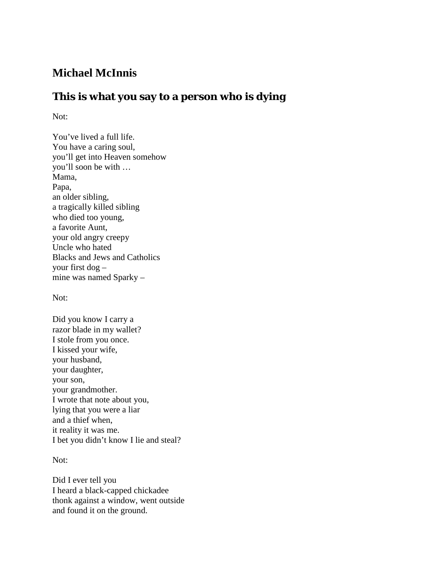## **Michael McInnis**

## **This is what you say to a person who is dying**

Not:

You've lived a full life. You have a caring soul, you'll get into Heaven somehow you'll soon be with … Mama, Papa, an older sibling, a tragically killed sibling who died too young, a favorite Aunt, your old angry creepy Uncle who hated Blacks and Jews and Catholics your first dog – mine was named Sparky –

Not:

Did you know I carry a razor blade in my wallet? I stole from you once. I kissed your wife, your husband, your daughter, your son, your grandmother. I wrote that note about you, lying that you were a liar and a thief when, it reality it was me. I bet you didn't know I lie and steal?

Not:

Did I ever tell you I heard a black-capped chickadee thonk against a window, went outside and found it on the ground.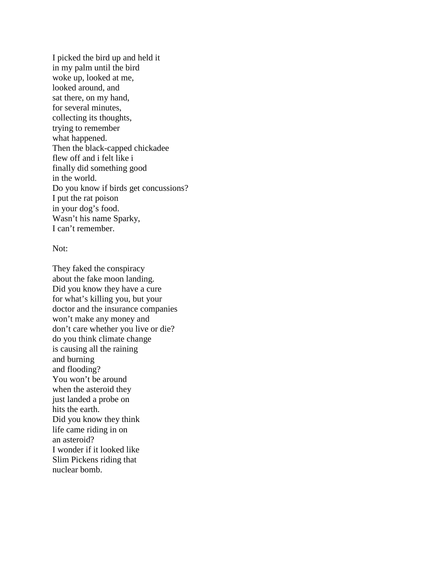I picked the bird up and held it in my palm until the bird woke up, looked at me, looked around, and sat there, on my hand, for several minutes, collecting its thoughts, trying to remember what happened. Then the black-capped chickadee flew off and i felt like i finally did something good in the world. Do you know if birds get concussions? I put the rat poison in your dog's food. Wasn't his name Sparky, I can't remember.

## Not:

They faked the conspiracy about the fake moon landing. Did you know they have a cure for what's killing you, but your doctor and the insurance companies won't make any money and don't care whether you live or die? do you think climate change is causing all the raining and burning and flooding? You won't be around when the asteroid they just landed a probe on hits the earth. Did you know they think life came riding in on an asteroid? I wonder if it looked like Slim Pickens riding that nuclear bomb.